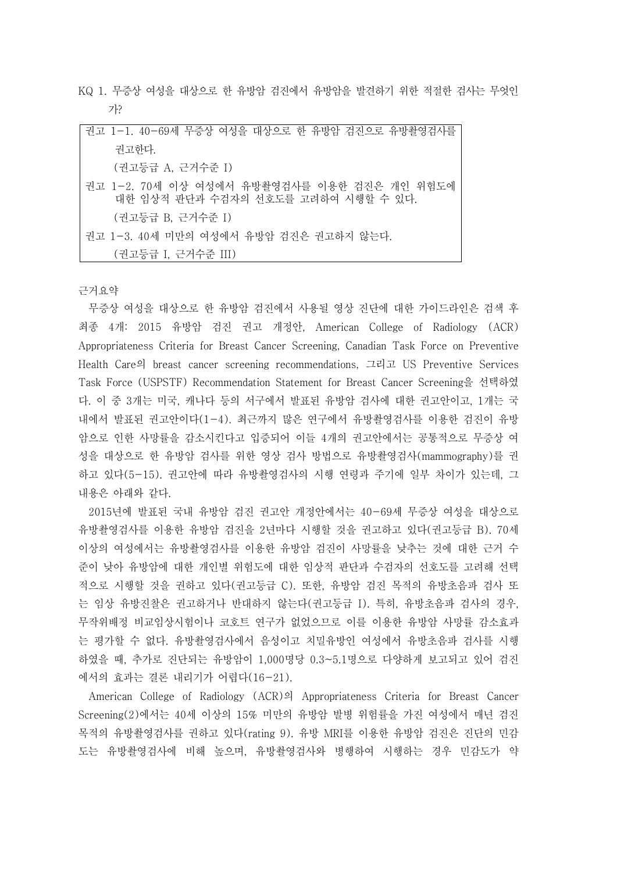KQ 1. 무증상 여성을 대상으로 한 유방암 검진에서 유방암을 발견하기 위한 적절한 검사는 무엇인 가?

| 권고 1-1. 40-69세 무증상 여성을 대상으로 한 유방암 검진으로 유방촬영검사를                                     |
|------------------------------------------------------------------------------------|
| 권고한다.                                                                              |
| (권고등급 A, 근거수준 I)                                                                   |
| 권고 1-2. 70세 이상 여성에서 유방촬영검사를 이용한 검진은 개인 위험도에<br>대한 임상적 판단과 수검자의 선호도를 고려하여 시행할 수 있다. |
| (권고등급 B, 근거수준 I)                                                                   |
| 권고 1-3. 40세 미만의 여성에서 유방암 검진은 권고하지 않는다.                                             |
| (권고등급 I, 근거수준 III)                                                                 |

근거요약

무증상 여성을 대상으로 한 유방암 검진에서 사용될 영상 진단에 대한 가이드라인은 검색 후 최종 4개: 2015 유방암 검진 권고 개정안, American College of Radiology (ACR) Appropriateness Criteria for Breast Cancer Screening, Canadian Task Force on Preventive Health Care의 breast cancer screening recommendations, 그리고 US Preventive Services Task Force (USPSTF) Recommendation Statement for Breast Cancer Screening을 선택하였 다. 이 중 3개는 미국, 캐나다 등의 서구에서 발표된 유방암 검사에 대한 권고안이고, 1개는 국 내에서 발표된 권고안이다(1-4). 최근까지 많은 연구에서 유방촬영검사를 이용한 검진이 유방 암으로 인한 사망률을 감소시킨다고 입증되어 이들 4개의 권고안에서는 공통적으로 무증상 여 성을 대상으로 한 유방암 검사를 위한 영상 검사 방법으로 유방촬영검사(mammography)를 권 하고 있다(5-15). 권고안에 따라 유방촬영검사의 시행 연령과 주기에 일부 차이가 있는데, 그 내용은 아래와 같다.<br>-<br>2015년에 발표된 국내 유방암 검진 권고안 개정안에서는 40-69세 무증상 여성을 대상으로

유방촬영검사를 이용한 유방암 검진을 2년마다 시행할 것을 권고하고 있다(권고등급 B). 70세 이상의 여성에서는 유방촬영검사를 이용한 유방암 검진이 사망률을 낮추는 것에 대한 근거 수 준이 낮아 유방암에 대한 개인별 위험도에 대한 임상적 판단과 수검자의 선호도를 고려해 선택 적으로 시행할 것을 권하고 있다(권고등급 C). 또한, 유방암 검진 목적의 유방초음파 검사 또 는 임상 유방진찰은 권고하거나 반대하지 않는다(권고등급 I). 특히, 유방초음파 검사의 경우,<br>무작위배정 비교임상시험이나 코호트 연구가 없었으므로 이를 이용한 유방암 사망률 감소효과 는 평가할 수 없다. 유방촬영검사에서 음성이고 치밀유방인 여성에서 유방초음파 검사를 시행 하였을 때, 추가로 진단되는 유방암이 1,000명당 0.3~5.1명으로 다양하게 보고되고 있어 검진 에서의 효과는 결론 내리기가 어렵다(16-21).

American College of Radiology (ACR)의 Appropriateness Criteria for Breast Cancer Screening(2)에서는 40세 이상의 15% 미만의 유방암 발병 위험률을 가진 여성에서 매년 검진 목적의 유방촬영검사를 권하고 있다(rating 9). 유방 MRI를 이용한 유방암 검진은 진단의 민감 도는 유방촬영검사에 비해 높으며, 유방촬영검사와 병행하여 시행하는 경우 민감도가 약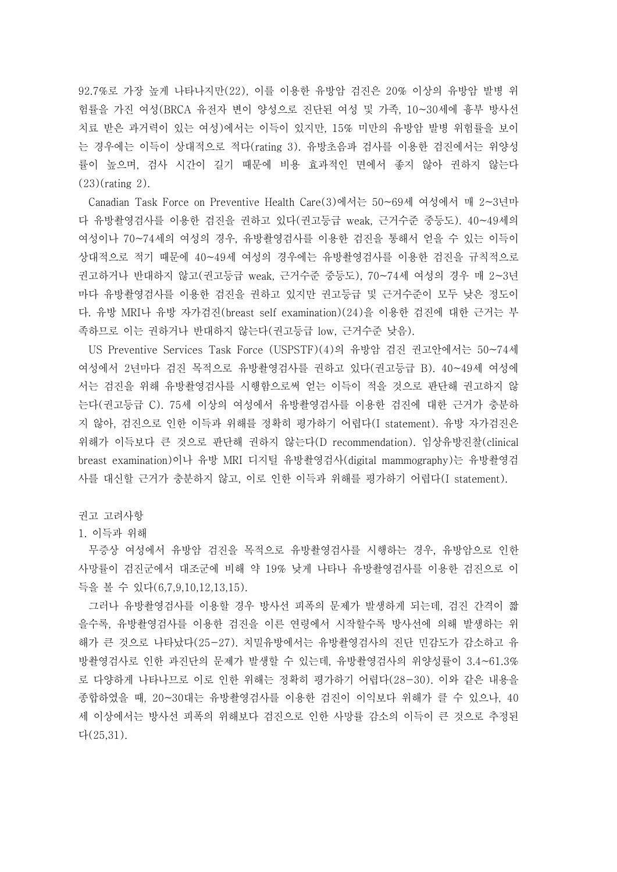92.7%로 가장 높게 나타나지만(22), 이를 이용한 유방암 검진은 20% 이상의 유방암 발병 위 험률을 가진 여성(BRCA 유전자 변이 양성으로 진단된 여성 및 가족, 10~30세에 흉부 방사선 치료 받은 과거력이 있는 여성)에서는 이득이 있지만, 15% 미만의 유방암 발병 위험률을 보이 는 경우에는 이득이 상대적으로 적다(rating 3). 유방초음파 검사를 이용한 검진에서는 위양성 률이 높으며, 검사 시간이 길기 때문에 비용 효과적인 면에서 좋지 않아 권하지 않는다 (23)(rating 2).

Canadian Task Force on Preventive Health Care(3)에서는 50~69세 여성에서 매 2~3년마 다 유방촬영검사를 이용한 검진을 권하고 있다(권고등급 weak, 근거수준 중등도). 40~49세의 여성이나 70~74세의 여성의 경우, 유방촬영검사를 이용한 검진을 통해서 얻을 수 있는 이득이 상대적으로 적기 때문에 40~49세 여성의 경우에는 유방촬영검사를 이용한 검진을 규칙적으로 권고하거나 반대하지 않고(권고등급 weak, 근거수준 중등도), 70~74세 여성의 경우 매 2~3년 마다 유방촬영검사를 이용한 검진을 권하고 있지만 권고등급 및 근거수준이 모두 낮은 정도이 다. 유방 MRI나 유방 자가검진(breast self examination)(24)을 이용한 검진에 대한 근거는 부 족하므로 이는 권하거나 반대하지 않는다(권고등급 low, 근거수준 낮음).

US Preventive Services Task Force (USPSTF)(4)의 유방암 검진 권고안에서는 50~74세 여성에서 2년마다 검진 목적으로 유방촬영검사를 권하고 있다(권고등급 B). 40~49세 여성에 서는 검진을 위해 유방촬영검사를 시행함으로써 얻는 이득이 적을 것으로 판단해 권고하지 않 는다(권고등급 C). 75세 이상의 여성에서 유방촬영검사를 이용한 검진에 대한 근거가 충분하 지 않아, 검진으로 인한 이득과 위해를 정확히 평가하기 어렵다(I statement). 유방 자가검진은 위해가 이득보다 큰 것으로 판단해 권하지 않는다(D recommendation). 임상유방진찰(clinical breast examination)이나 유방 MRI 디지털 유방촬영검사(digital mammography)는 유방촬영검 사를 대신할 근거가 충분하지 않고, 이로 인한 이득과 위해를 평가하기 어렵다(I statement).

권고 고려사항

## 1. 이득과 위해

무증상 여성에서 유방암 검진을 목적으로 유방촬영검사를 시행하는 경우, 유방암으로 인한 사망률이 검진군에서 대조군에 비해 약 19% 낮게 나타나 유방촬영검사를 이용한 검진으로 이 득을 볼 수 있다(6,7,9,10,12,13,15).

그러나 유방촬영검사를 이용할 경우 방사선 피폭의 문제가 발생하게 되는데, 검진 간격이 짧 을수록, 유방촬영검사를 이용한 검진을 이른 연령에서 시작할수록 방사선에 의해 발생하는 위 해가 큰 것으로 나타났다(25-27). 치밀유방에서는 유방촬영검사의 진단 민감도가 감소하고 유 방촬영검사로 인한 과진단의 문제가 발생할 수 있는데, 유방촬영검사의 위양성률이 3.4~61.3% 로 다양하게 나타나므로 이로 인한 위해는 정확히 평가하기 어렵다(28-30). 이와 같은 내용을 종합하였을 때, 20~30대는 유방촬영검사를 이용한 검진이 이익보다 위해가 클 수 있으나, 40 세 이상에서는 방사선 피폭의 위해보다 검진으로 인한 사망률 감소의 이득이 큰 것으로 추정된 다(25,31).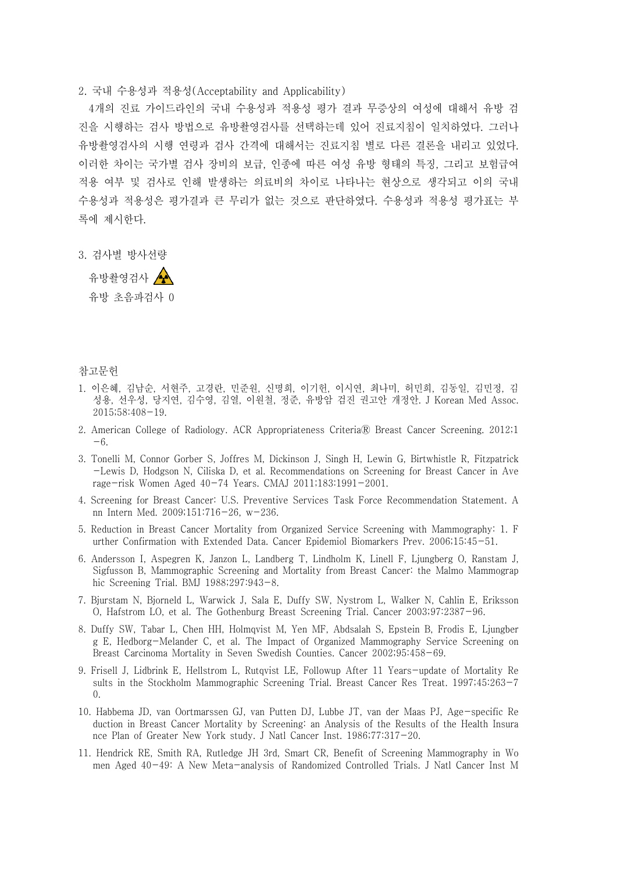2. 국내 수용성과 적용성(Acceptability and Applicability)

4개의 진료 가이드라인의 국내 수용성과 적용성 평가 결과 무증상의 여성에 대해서 유방 검 진을 시행하는 검사 방법으로 유방촬영검사를 선택하는데 있어 진료지침이 일치하였다. 그러나 유방촬영검사의 시행 연령과 검사 간격에 대해서는 진료지침 별로 다른 결론을 내리고 있었다.<br>이러한 차이는 국가별 검사 장비의 보급, 인종에 따른 여성 유방 형태의 특징, 그리고 보험급여 적용 여부 및 검사로 인해 발생하는 의료비의 차이로 나타나는 현상으로 생각되고 이의 국내 수용성과 적용성은 평가결과 큰 무리가 없는 것으로 판단하였다. 수용성과 적용성 평가표는 부

록에 제시한다.<br><br>3. 검사별 방사선량

유방촬영검사 ▲ 유방 초음파검사 0

## 참고문헌

- 1. 이은혜, 김남순, 서현주, 고경란, 민준원, 신명희, 이기헌, 이시연, 최나미, 허민희, 김동일, 김민정, 김 성용, 선우성, 당지연, 김수영, 김열, 이원철, 정준, 유방암 검진 권고안 개정안. J Korean Med Assoc. 2015;58:408-19.
- 2. American College of Radiology. ACR Appropriateness CriteriaⓇ Breast Cancer Screening. 2012;1 -6.
- 3. Tonelli M, Connor Gorber S, Joffres M, Dickinson J, Singh H, Lewin G, Birtwhistle R, Fitzpatrick -Lewis D, Hodgson N, Ciliska D, et al. Recommendations on Screening for Breast Cancer in Ave rage-risk Women Aged 40-74 Years. CMAJ 2011;183:1991-2001.
- 4. Screening for Breast Cancer: U.S. Preventive Services Task Force Recommendation Statement. A nn Intern Med. 2009;151:716-26, w-236.
- 5. Reduction in Breast Cancer Mortality from Organized Service Screening with Mammography: 1. F urther Confirmation with Extended Data. Cancer Epidemiol Biomarkers Prev. 2006;15:45-51.
- 6. Andersson I, Aspegren K, Janzon L, Landberg T, Lindholm K, Linell F, Ljungberg O, Ranstam J, Sigfusson B, Mammographic Screening and Mortality from Breast Cancer: the Malmo Mammograp hic Screening Trial. BMJ 1988;297:943-8.
- 7. Bjurstam N, Bjorneld L, Warwick J, Sala E, Duffy SW, Nystrom L, Walker N, Cahlin E, Eriksson O, Hafstrom LO, et al. The Gothenburg Breast Screening Trial. Cancer 2003;97:2387-96.
- 8. Duffy SW, Tabar L, Chen HH, Holmqvist M, Yen MF, Abdsalah S, Epstein B, Frodis E, Ljungber g E, Hedborg-Melander C, et al. The Impact of Organized Mammography Service Screening on Breast Carcinoma Mortality in Seven Swedish Counties. Cancer 2002;95:458-69.
- 9. Frisell J, Lidbrink E, Hellstrom L, Rutqvist LE, Followup After 11 Years-update of Mortality Re sults in the Stockholm Mammographic Screening Trial. Breast Cancer Res Treat. 1997;45:263-7 0.
- 10. Habbema JD, van Oortmarssen GJ, van Putten DJ, Lubbe JT, van der Maas PJ, Age-specific Re duction in Breast Cancer Mortality by Screening: an Analysis of the Results of the Health Insura nce Plan of Greater New York study. J Natl Cancer Inst. 1986;77:317-20.
- 11. Hendrick RE, Smith RA, Rutledge JH 3rd, Smart CR, Benefit of Screening Mammography in Wo men Aged 40-49: A New Meta-analysis of Randomized Controlled Trials. J Natl Cancer Inst M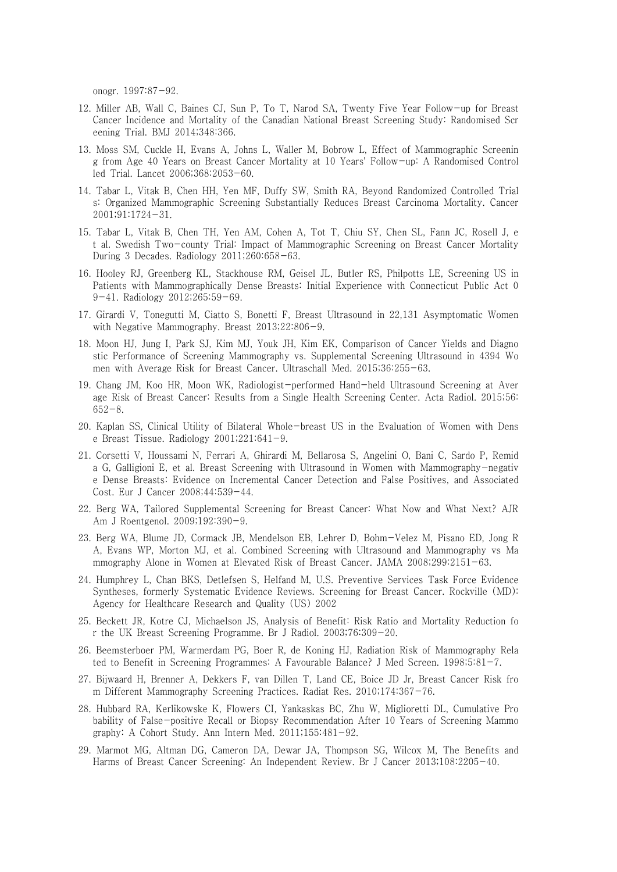onogr. 1997:87-92.

- 12. Miller AB, Wall C, Baines CJ, Sun P, To T, Narod SA, Twenty Five Year Follow-up for Breast Cancer Incidence and Mortality of the Canadian National Breast Screening Study: Randomised Scr eening Trial. BMJ 2014;348:366.
- 13. Moss SM, Cuckle H, Evans A, Johns L, Waller M, Bobrow L, Effect of Mammographic Screenin g from Age 40 Years on Breast Cancer Mortality at 10 Years' Follow-up: A Randomised Control led Trial. Lancet 2006;368:2053-60.
- 14. Tabar L, Vitak B, Chen HH, Yen MF, Duffy SW, Smith RA, Beyond Randomized Controlled Trial s: Organized Mammographic Screening Substantially Reduces Breast Carcinoma Mortality. Cancer 2001;91:1724-31.
- 15. Tabar L, Vitak B, Chen TH, Yen AM, Cohen A, Tot T, Chiu SY, Chen SL, Fann JC, Rosell J, e t al. Swedish Two-county Trial: Impact of Mammographic Screening on Breast Cancer Mortality During 3 Decades. Radiology 2011;260:658-63.
- 16. Hooley RJ, Greenberg KL, Stackhouse RM, Geisel JL, Butler RS, Philpotts LE, Screening US in Patients with Mammographically Dense Breasts: Initial Experience with Connecticut Public Act 0 9-41. Radiology 2012;265:59-69.
- 17. Girardi V, Tonegutti M, Ciatto S, Bonetti F, Breast Ultrasound in 22,131 Asymptomatic Women with Negative Mammography. Breast 2013;22:806-9.
- 18. Moon HJ, Jung I, Park SJ, Kim MJ, Youk JH, Kim EK, Comparison of Cancer Yields and Diagno stic Performance of Screening Mammography vs. Supplemental Screening Ultrasound in 4394 Wo men with Average Risk for Breast Cancer. Ultraschall Med. 2015;36:255-63.
- 19. Chang JM, Koo HR, Moon WK, Radiologist-performed Hand-held Ultrasound Screening at Aver age Risk of Breast Cancer: Results from a Single Health Screening Center. Acta Radiol. 2015;56: 652-8.
- 20. Kaplan SS, Clinical Utility of Bilateral Whole-breast US in the Evaluation of Women with Dens e Breast Tissue. Radiology  $2001;221:641-9$ .
- 21. Corsetti V, Houssami N, Ferrari A, Ghirardi M, Bellarosa S, Angelini O, Bani C, Sardo P, Remid a G, Galligioni E, et al. Breast Screening with Ultrasound in Women with Mammography-negativ e Dense Breasts: Evidence on Incremental Cancer Detection and False Positives, and Associated Cost. Eur J Cancer 2008;44:539-44.
- 22. Berg WA, Tailored Supplemental Screening for Breast Cancer: What Now and What Next? AJR Am J Roentgenol. 2009;192:390-9.
- 23. Berg WA, Blume JD, Cormack JB, Mendelson EB, Lehrer D, Bohm-Velez M, Pisano ED, Jong R A, Evans WP, Morton MJ, et al. Combined Screening with Ultrasound and Mammography vs Ma mmography Alone in Women at Elevated Risk of Breast Cancer. JAMA 2008;299:2151-63.
- 24. Humphrey L, Chan BKS, Detlefsen S, Helfand M, U.S. Preventive Services Task Force Evidence Syntheses, formerly Systematic Evidence Reviews. Screening for Breast Cancer. Rockville (MD): Agency for Healthcare Research and Quality (US) 2002
- 25. Beckett JR, Kotre CJ, Michaelson JS, Analysis of Benefit: Risk Ratio and Mortality Reduction fo r the UK Breast Screening Programme. Br J Radiol. 2003;76:309-20.
- 26. Beemsterboer PM, Warmerdam PG, Boer R, de Koning HJ, Radiation Risk of Mammography Rela ted to Benefit in Screening Programmes: A Favourable Balance? J Med Screen. 1998;5:81-7.
- 27. Bijwaard H, Brenner A, Dekkers F, van Dillen T, Land CE, Boice JD Jr, Breast Cancer Risk fro m Different Mammography Screening Practices. Radiat Res. 2010;174:367-76.
- 28. Hubbard RA, Kerlikowske K, Flowers CI, Yankaskas BC, Zhu W, Miglioretti DL, Cumulative Pro bability of False-positive Recall or Biopsy Recommendation After 10 Years of Screening Mammo graphy: A Cohort Study. Ann Intern Med. 2011;155:481-92.
- 29. Marmot MG, Altman DG, Cameron DA, Dewar JA, Thompson SG, Wilcox M, The Benefits and Harms of Breast Cancer Screening: An Independent Review. Br J Cancer 2013;108:2205-40.